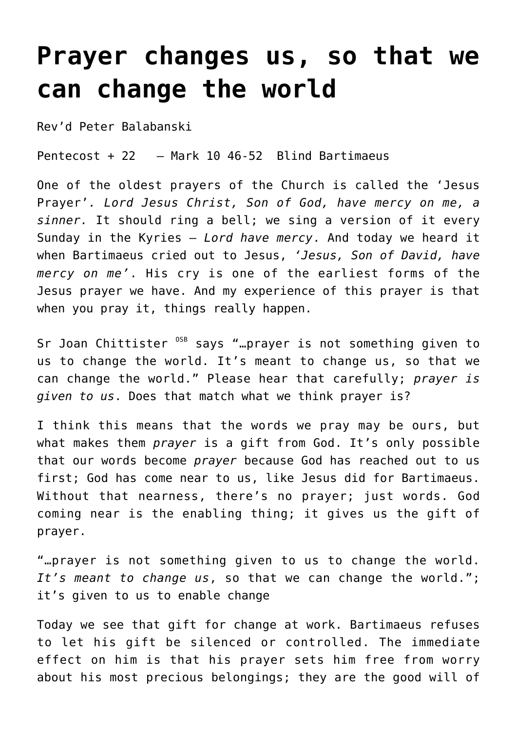## **[Prayer changes us, so that we](http://stjohnsadelaide.org.au/prayer-changes-us-so-that-we-can-change-the-world/) [can change the world](http://stjohnsadelaide.org.au/prayer-changes-us-so-that-we-can-change-the-world/)**

Rev'd Peter Balabanski

Pentecost + 22 – Mark 10 46-52 Blind Bartimaeus

One of the oldest prayers of the Church is called the 'Jesus Prayer'*. Lord Jesus Christ, Son of God, have mercy on me, a sinner.* It should ring a bell; we sing a version of it every Sunday in the Kyries – *Lord have mercy*. And today we heard it when Bartimaeus cried out to Jesus, *'Jesus, Son of David, have mercy on me'*. His cry is one of the earliest forms of the Jesus prayer we have. And my experience of this prayer is that when you pray it, things really happen.

Sr Joan Chittister <sup>OSB</sup> says "... prayer is not something given to us to change the world. It's meant to change us, so that we can change the world." Please hear that carefully; *prayer is given to us*. Does that match what we think prayer is?

I think this means that the words we pray may be ours, but what makes them *prayer* is a gift from God. It's only possible that our words become *prayer* because God has reached out to us first; God has come near to us, like Jesus did for Bartimaeus. Without that nearness, there's no prayer; just words. God coming near is the enabling thing; it gives us the gift of prayer.

"…prayer is not something given to us to change the world. *It's meant to change us*, so that we can change the world."; it's given to us to enable change

Today we see that gift for change at work. Bartimaeus refuses to let his gift be silenced or controlled. The immediate effect on him is that his prayer sets him free from worry about his most precious belongings; they are the good will of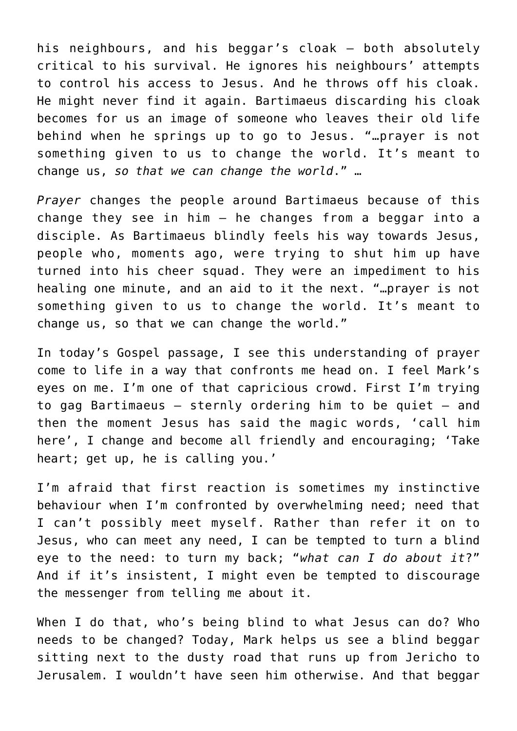his neighbours, and his beggar's cloak – both absolutely critical to his survival. He ignores his neighbours' attempts to control his access to Jesus. And he throws off his cloak. He might never find it again. Bartimaeus discarding his cloak becomes for us an image of someone who leaves their old life behind when he springs up to go to Jesus. "…prayer is not something given to us to change the world. It's meant to change us, *so that we can change the world*." …

*Prayer* changes the people around Bartimaeus because of this change they see in him – he changes from a beggar into a disciple. As Bartimaeus blindly feels his way towards Jesus, people who, moments ago, were trying to shut him up have turned into his cheer squad. They were an impediment to his healing one minute, and an aid to it the next. "…prayer is not something given to us to change the world. It's meant to change us, so that we can change the world."

In today's Gospel passage, I see this understanding of prayer come to life in a way that confronts me head on. I feel Mark's eyes on me. I'm one of that capricious crowd. First I'm trying to gag Bartimaeus – sternly ordering him to be quiet – and then the moment Jesus has said the magic words, 'call him here', I change and become all friendly and encouraging; 'Take heart; get up, he is calling you.'

I'm afraid that first reaction is sometimes my instinctive behaviour when I'm confronted by overwhelming need; need that I can't possibly meet myself. Rather than refer it on to Jesus, who can meet any need, I can be tempted to turn a blind eye to the need: to turn my back; "*what can I do about it*?" And if it's insistent, I might even be tempted to discourage the messenger from telling me about it.

When I do that, who's being blind to what Jesus can do? Who needs to be changed? Today, Mark helps us see a blind beggar sitting next to the dusty road that runs up from Jericho to Jerusalem. I wouldn't have seen him otherwise. And that beggar